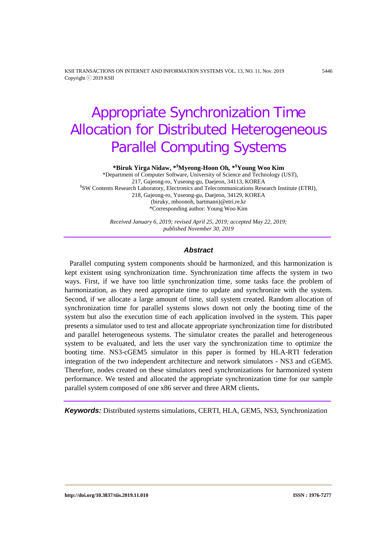KSII TRANSACTIONS ON INTERNET AND INFORMATION SYSTEMS VOL. 13, NO. 11, Nov. 2019 5446 Copyright ⓒ 2019 KSII

# Appropriate Synchronization Time Allocation for Distributed Heterogeneous Parallel Computing Systems

**\*Biruk Yirga Nidaw, \*§ Myeong-Hoon Oh***,* **\*§ Young Woo Kim** 

 \*Department of Computer Software, University of Science and Technology (UST), 217, Gajeong-ro, Yuseong-gu, Daejeon, 34113, KOREA § SW Contents Research Laboratory, Electronics and Telecommunications Research Institute (ETRI), 218, Gajeong-ro, Yuseong-gu, Daejeon, 34129, KOREA (biruky, mhoonoh, bartmann)@etri.re.kr \*Corresponding author: Young Woo Kim

> *Received January 6, 2019; revised April 25, 2019; accepted May 22, 2019; published November 30, 2019*

#### *Abstract*

 Parallel computing system components should be harmonized, and this harmonization is kept existent using synchronization time. Synchronization time affects the system in two ways. First, if we have too little synchronization time, some tasks face the problem of harmonization, as they need appropriate time to update and synchronize with the system. Second, if we allocate a large amount of time, stall system created. Random allocation of synchronization time for parallel systems slows down not only the booting time of the system but also the execution time of each application involved in the system. This paper presents a simulator used to test and allocate appropriate synchronization time for distributed and parallel heterogeneous systems. The simulator creates the parallel and heterogeneous system to be evaluated, and lets the user vary the synchronization time to optimize the booting time. NS3-cGEM5 simulator in this paper is formed by HLA-RTI federation integration of the two independent architecture and network simulators - NS3 and cGEM5. Therefore, nodes created on these simulators need synchronizations for harmonized system performance. We tested and allocated the appropriate synchronization time for our sample parallel system composed of one x86 server and three ARM clients**.**

*Keywords:* Distributed systems simulations, CERTI, HLA, GEM5, NS3, Synchronization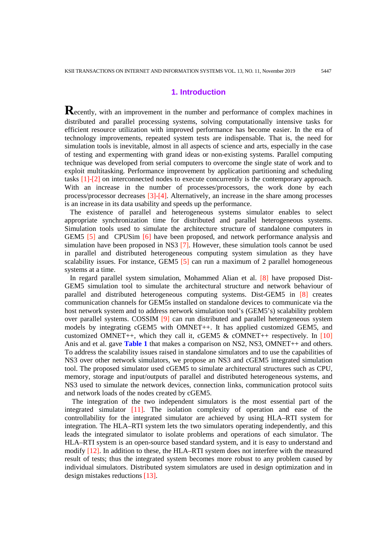# **1. Introduction**

**Recently, with an improvement in the number and performance of complex machines in** distributed and parallel processing systems, solving computationally intensive tasks for efficient resource utilization with improved performance has become easier. In the era of technology improvements, repeated system tests are indispensable. That is, the need for simulation tools is inevitable, almost in all aspects of science and arts, especially in the case of testing and expermenting with grand ideas or non-existing systems. Parallel computing technique was developed from serial computers to overcome the single state of work and to exploit multitasking. Performance improvement by application partitioning and scheduling tasks [1]-[\[2\]](#page-15-0) on interconnected nodes to execute concurrently is the contemporary approach. With an increase in the number of processes/processors, the work done by each process/processor decreases [3]-[\[4\]](#page-15-0). Alternatively, an increase in the share among processes is an increase in its data usability and speeds up the performance.

 The existence of parallel and heterogeneous systems simulator enables to select appropriate synchronization time for distributed and parallel heterogeneous systems. Simulation tools used to simulate the architecture structure of standalone computers in GEM5 [5] and CPUSim [6] have been proposed, and network performance analysis and simulation have been proposed in NS3 [\[7\]](#page-15-0). However, these simulation tools cannot be used in parallel and distributed heterogeneous computing system simulation as they have scalability issues. For instance, GEM5  $[5]$  can run a maximum of 2 parallel homogeneous systems at a time.

 In regard parallel system simulation, Mohammed Alian et al. [8] have proposed Dist-GEM5 simulation tool to simulate the architectural structure and network behaviour of parallel and distributed heterogeneous computing systems. Dist-GEM5 in [8] creates communication channels for GEM5s installed on standalone devices to communicate via the host network system and to address network simulation tool's (GEM5's) scalability problem over parallel systems. COSSIM [9] can run distributed and parallel heterogeneous system models by integrating cGEM5 with OMNET++. It has applied customized GEM5, and customized OMNET++, which they call it, cGEM5 & cOMNET++ respectively. In  $[10]$ Anis and et al. gave **Table 1** that makes a comparison on NS2, NS3, OMNET++ and others. To address the scalability issues raised in standalone simulators and to use the capabilities of NS3 over other network simulators, we propose an NS3 and cGEM5 integrated simulation tool. The proposed simulator used cGEM5 to simulate architectural structures such as CPU, memory, storage and input/outputs of parallel and distributed heterogeneous systems, and NS3 used to simulate the network devices, connection links, communication protocol suits and network loads of the nodes created by cGEM5.

 The integration of the two independent simulators is the most essential part of the integrated simulator [11]. The isolation complexity of operation and ease of the controllability for the integrated simulator are achieved by using HLA–RTI system for integration. The HLA–RTI system lets the two simulators operating independently, and this leads the integrated simulator to isolate problems and operations of each simulator. The HLA–RTI system is an open-source based standard system, and it is easy to understand and modify [12]. In addition to these, the HLA–RTI system does not interfere with the measured result of tests; thus the integrated system becomes more robust to any problem caused by individual simulators. Distributed system simulators are used in design optimization and in design mistakes reductions [13].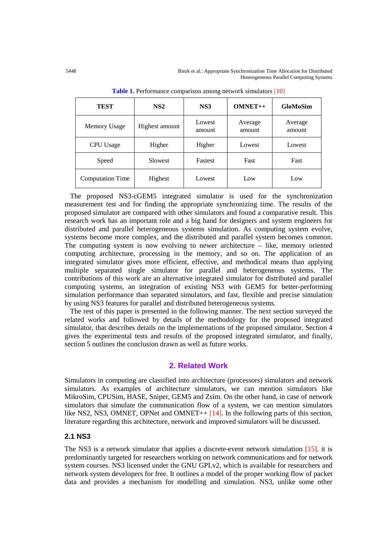5448 Biruk et al.: Appropriate Synchronization Time Allocation for Distributed Heterogeneous Parallel Computing Systems

| TEST                    | NS <sub>2</sub><br>NS3<br>$OMNET++$ |                  |                   | <b>GloMoSim</b>   |
|-------------------------|-------------------------------------|------------------|-------------------|-------------------|
| Memory Usage            | Highest amount                      | Lowest<br>amount | Average<br>amount | Average<br>amount |
| <b>CPU</b> Usage        | Higher                              | Higher           | Lowest            | Lowest            |
| Speed                   | Slowest                             | Fastest          | Fast              | Fast              |
| <b>Computation Time</b> | Highest                             | Lowest           | Low               | Low               |

**Table 1.** Performance comparison among network simulators [10]

 The proposed NS3-cGEM5 integrated simulator is used for the synchronization measurement test and for finding the appropriate synchronizing time. The results of the proposed simulator are compared with other simulators and found a comparative result. This research work has an important role and a big hand for designers and system engineers for distributed and parallel heterogeneous systems simulation. As computing system evolve, systems become more complex, and the distributed and parallel system becomes common. The computing system is now evolving to newer architecture – like, memory oriented computing architecture, processing in the memory, and so on. The application of an integrated simulator gives more efficient, effective, and methodical means than applying multiple separated single simulator for parallel and heterogeneous systems. The contributions of this work are an alternative integrated simulator for distributed and parallel computing systems, an integration of existing NS3 with GEM5 for better-performing simulation performance than separated simulators, and fast, flexible and precise simulation by using NS3 features for parallel and distributed heterogeneous systems.

 The rest of this paper is presented in the following manner. The next section surveyed the related works and followed by details of the methodology for the proposed integrated simulator, that describes details on the implementations of the proposed simulator. Section 4 gives the experimental tests and results of the proposed integrated simulator, and finally, section 5 outlines the conclusion drawn as well as future works.

# **2. Related Work**

Simulators in computing are classified into architecture (processors) simulators and network simulators. As examples of architecture simulators, we can mention simulators like MikroSim, CPUSim, HASE, Sniper, GEM5 and Zsim. On the other hand, in case of network simulators that simulate the communication flow of a system, we can mention simulators like NS2, NS3, OMNET, OPNet and OMNET++ [14]. In the following parts of this section, literature regarding this architecture, network and improved simulators will be discussed.

#### **2.1 NS3**

The NS3 is a network simulator that applies a discrete-event network simulation [15]. it is predominantly targeted for researchers working on network communications and for network system courses. NS3 licensed under the GNU GPLv2, which is available for researchers and network system developers for free. It outlines a model of the proper working flow of packet data and provides a mechanism for modelling and simulation. NS3, unlike some other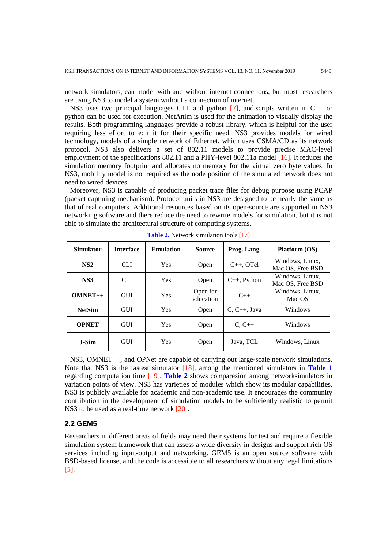network simulators, can model with and without internet connections, but most researchers are using NS3 to model a system without a connection of internet.

 NS3 uses two principal languages C++ and python [\[7\]](#page-15-0), and scripts written in C++ or python can be used for execution. NetAnim is used for the animation to visually display the results. Both programming languages provide a robust library, which is helpful for the user requiring less effort to edit it for their specific need. NS3 provides models for wired technology, models of a simple network of Ethernet, which uses CSMA/CD as its network protocol. NS3 also delivers a set of 802.11 models to provide precise MAC-level employment of the specifications 802.11 and a PHY-level 802.11a model [\[16\]](#page-15-0). It reduces the simulation memory footprint and allocates no memory for the virtual zero byte values. In NS3, mobility model is not required as the node position of the simulated network does not need to wired devices.

 Moreover, NS3 is capable of producing packet trace files for debug purpose using PCAP (packet capturing mechanism). Protocol units in NS3 are designed to be nearly the same as that of real computers. Additional resources based on its open-source are supported in NS3 networking software and there reduce the need to rewrite models for simulation, but it is not able to simulate the architectural structure of computing systems.

| <b>Simulator</b> | <b>Interface</b> | <b>Emulation</b> | <b>Source</b>         | Prog. Lang.       | Platform (OS)                       |
|------------------|------------------|------------------|-----------------------|-------------------|-------------------------------------|
| NS2              | CLI.             | Yes              | Open                  | $C_{++}$ , OTcl   | Windows, Linux,<br>Mac OS, Free BSD |
| NS3              | CLI              | Yes              | Open                  | $C_{++}$ , Python | Windows, Linux.<br>Mac OS, Free BSD |
| $OMNET++$        | <b>GUI</b>       | Yes              | Open for<br>education | $C_{++}$          | Windows, Linux,<br>Mac OS           |
| <b>NetSim</b>    | <b>GUI</b>       | Yes              | Open                  | $C, C++, Java$    | Windows                             |
| <b>OPNET</b>     | <b>GUI</b>       | Yes              | Open                  | $C, C++$          | Windows                             |
| J-Sim            | <b>GUI</b>       | Yes              | Open                  | Java, TCL         | Windows, Linux                      |

**Table 2.** Network simulation tools [\[17\]](#page-15-0)

 NS3, OMNET++, and OPNet are capable of carrying out large-scale network simulations. Note that NS3 is the fastest simulator [\[18\]](#page-15-0), among the mentioned simulators in **Table 1** regarding computation time [\[19\]](#page-15-0). **Table 2** shows comparesion among networksimulators in variation points of view. NS3 has varieties of modules which show its modular capabilities. NS3 is publicly available for academic and non-academic use. It encourages the community contribution in the development of simulation models to be sufficiently realistic to permit NS3 to be used as a real-time network [\[20\]](#page-15-0).

#### **2.2 GEM5**

Researchers in different areas of fields may need their systems for test and require a flexible simulation system framework that can assess a wide diversity in designs and support rich OS services including input-output and networking. GEM5 is an open source software with BSD-based license, and the code is accessible to all researchers without any legal limitations [5].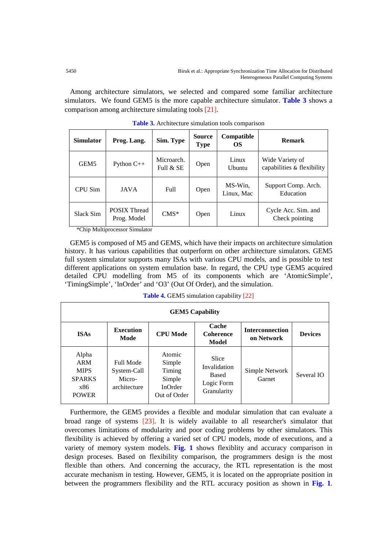Among architecture simulators, we selected and compared some familiar architecture simulators. We found GEM5 is the more capable architecture simulator. **Table 3** shows a comparison among architecture simulating tools [\[21\]](#page-15-0).

| <b>Simulator</b> | Prog. Lang.                        | Sim. Type                 | <b>Source</b><br><b>Type</b> | Compatible<br>OS        | <b>Remark</b>                                 |
|------------------|------------------------------------|---------------------------|------------------------------|-------------------------|-----------------------------------------------|
| GEM <sub>5</sub> | Python $C_{++}$                    | Microarch.<br>Full $&$ SE | Open                         | Linux<br><b>U</b> buntu | Wide Variety of<br>capabilities & flexibility |
| CPU Sim          | JAVA                               | Full                      | Open                         | MS-Win.<br>Linux, Mac   | Support Comp. Arch.<br>Education              |
| Slack Sim        | <b>POSIX Thread</b><br>Prog. Model | $CMS*$                    | Open                         | Linux                   | Cycle Acc. Sim. and<br>Check pointing         |

| Table 3. Architecture simulation tools comparison |  |  |  |
|---------------------------------------------------|--|--|--|
|---------------------------------------------------|--|--|--|

\*Chip Multiprocessor Simulator

 GEM5 is composed of M5 and GEMS, which have their impacts on architecture simulation history. It has various capabilities that outperform on other architecture simulators. GEM5 full system simulator supports many ISAs with various CPU models, and is possible to test different applications on system emulation base. In regard, the CPU type GEM5 acquired detailed CPU modelling from M5 of its components which are 'AtomicSimple', 'TimingSimple', 'InOrder' and 'O3' (Out Of Order), and the simulation.

| <b>Table 4. GEM5</b> simulation capability [22] |  |
|-------------------------------------------------|--|
|-------------------------------------------------|--|

| <b>GEM5</b> Capability                                              |                                                    |                                                                 |                                                                    |                                      |                |  |  |
|---------------------------------------------------------------------|----------------------------------------------------|-----------------------------------------------------------------|--------------------------------------------------------------------|--------------------------------------|----------------|--|--|
| <b>ISAs</b>                                                         | <b>Execution</b><br>Mode                           | <b>CPU Mode</b>                                                 | Cache<br><b>Coherence</b><br>Model                                 | <b>Interconnection</b><br>on Network | <b>Devices</b> |  |  |
| Alpha<br>ARM<br><b>MIPS</b><br><b>SPARKS</b><br>x86<br><b>POWER</b> | Full Mode<br>System-Call<br>Micro-<br>architecture | Atomic<br>Simple<br>Timing<br>Simple<br>InOrder<br>Out of Order | Slice<br>Invalidation<br><b>Based</b><br>Logic Form<br>Granularity | Simple Network<br>Garnet             | Several IO     |  |  |

 Furthermore, the GEM5 provides a flexible and modular simulation that can evaluate a broad range of systems [\[23\]](#page-15-0). It is widely available to all researcher's simulator that overcomes limitations of modularity and poor coding problems by other simulators. This flexibility is achieved by offering a varied set of CPU models, mode of executions, and a variety of memory system models. **Fig. 1** shows flexiblity and accuracy comparison in design proceses. Based on flexibility comparison, the programmers design is the most flexible than others. And concerning the accuracy, the RTL representation is the most accurate mechanism in testing. However, GEM5, it is located on the appropriate position in between the programmers flexibility and the RTL accuracy position as shown in **Fig. 1**.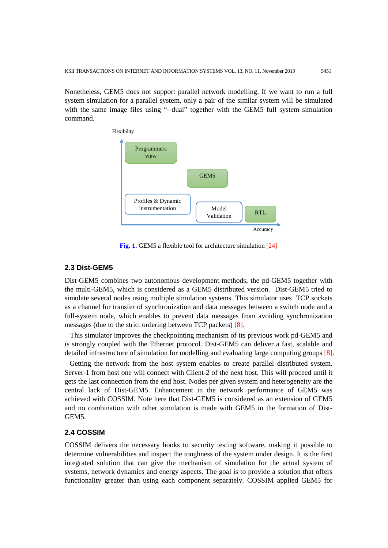Nonetheless, GEM5 does not support parallel network modelling. If we want to run a full system simulation for a parallel system, only a pair of the similar system will be simulated with the same image files using "--dual" together with the GEM5 full system simulation command.



**Fig. 1.** GEM5 a flexible tool for architecture simulation [\[24\]](#page-15-0)

## **2.3 Dist-GEM5**

Dist-GEM5 combines two autonomous development methods, the pd-GEM5 together with the multi-GEM5, which is considered as a GEM5 distributed version. Dist-GEM5 tried to simulate several nodes using multiple simulation systems. This simulator uses TCP sockets as a channel for transfer of synchronization and data messages between a switch node and a full-system node, which enables to prevent data messages from avoiding synchronization messages (due to the strict ordering between TCP packets) [\[8\]](#page-15-0).

 This simulator improves the checkpointing mechanism of its previous work pd-GEM5 and is strongly coupled with the Ethernet protocol. Dist-GEM5 can deliver a fast, scalable and detailed infrastructure of simulation for modelling and evaluating large computing groups [\[8\]](#page-15-0).

 Getting the network from the host system enables to create parallel distributed system. Server-1 from host one will connect with Client-2 of the next host. This will proceed until it gets the last connection from the end host. Nodes per given system and heterogeneity are the central lack of Dist-GEM5. Enhancement in the network performance of GEM5 was achieved with COSSIM. Note here that Dist-GEM5 is considered as an extension of GEM5 and no combination with other simulation is made with GEM5 in the formation of Dist-GEM5.

# **2.4 COSSIM**

COSSIM delivers the necessary hooks to security testing software, making it possible to determine vulnerabilities and inspect the toughness of the system under design. It is the first integrated solution that can give the mechanism of simulation for the actual system of systems, network dynamics and energy aspects. The goal is to provide a solution that offers functionality greater than using each component separately. COSSIM applied GEM5 for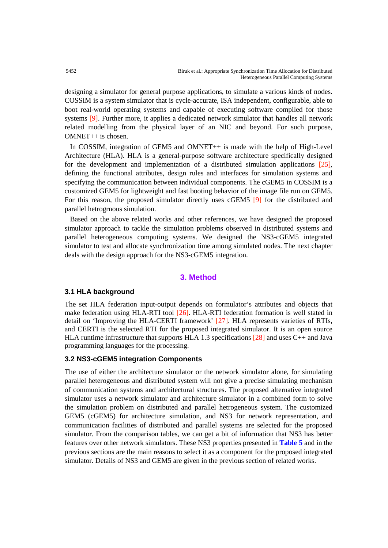designing a simulator for general purpose applications, to simulate a various kinds of nodes. COSSIM is a system simulator that is cycle-accurate, ISA independent, configurable, able to boot real-world operating systems and capable of executing software compiled for those systems [\[9\]](#page-15-0). Further more, it applies a dedicated network simulator that handles all network related modelling from the physical layer of an NIC and beyond. For such purpose, OMNET++ is chosen.

 In COSSIM, integration of GEM5 and OMNET++ is made with the help of High-Level Architecture (HLA). HLA is a general-purpose software architecture specifically designed for the development and implementation of a distributed simulation applications  $[25]$  $[25]$ , defining the functional attributes, design rules and interfaces for simulation systems and specifying the communication between individual components. The cGEM5 in COSSIM is a customized GEM5 for lightweight and fast booting behavior of the image file run on GEM5. For this reason, the proposed simulator directly uses cGEM5 [\[9\]](#page-15-0) for the distributed and parallel hetrogrnous simulation.

 Based on the above related works and other references, we have designed the proposed simulator approach to tackle the simulation problems observed in distributed systems and parallel heterogeneous computing systems. We designed the NS3-cGEM5 integrated simulator to test and allocate synchronization time among simulated nodes. The next chapter deals with the design approach for the NS3-cGEM5 integration.

# **3. Method**

# **3.1 HLA background**

The set HLA federation input-output depends on formulator's attributes and objects that make federation using HLA-RTI tool [\[26\]](#page-15-0). HLA-RTI federation formation is well stated in detail on 'Improving the HLA-CERTI framework' [27]. HLA represents varieties of RTIs, and CERTI is the selected RTI for the proposed integrated simulator. It is an open source HLA runtime infrastructure that supports HLA 1.3 specifications  $[28]$  and uses C++ and Java programming languages for the processing.

#### **3.2 NS3-cGEM5 integration Components**

The use of either the architecture simulator or the network simulator alone, for simulating parallel heterogeneous and distributed system will not give a precise simulating mechanism of communication systems and architectural structures. The proposed alternative integrated simulator uses a network simulator and architecture simulator in a combined form to solve the simulation problem on distributed and parallel hetrogeneous system. The customized GEM5 (cGEM5) for architecture simulation, and NS3 for network representation, and communication facilities of distributed and parallel systems are selected for the proposed simulator. From the comparison tables, we can get a bit of information that NS3 has better features over other network simulators. These NS3 properties presented in **Table 5** and in the previous sections are the main reasons to select it as a component for the proposed integrated simulator. Details of NS3 and GEM5 are given in the previous section of related works.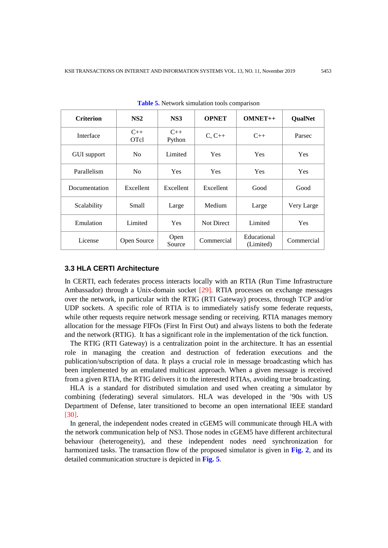| <b>Criterion</b>   | NS2                  | NS3             | <b>OPNET</b>      | $OMNET++$                | <b>QualNet</b> |
|--------------------|----------------------|-----------------|-------------------|--------------------------|----------------|
| Interface          | $C++$<br><b>OTcl</b> | $C++$<br>Python | $C, C++$          | $C++$                    | Parsec         |
| <b>GUI</b> support | N <sub>0</sub>       | Limited         | <b>Yes</b>        | Yes                      | <b>Yes</b>     |
| Parallelism        | N <sub>0</sub>       | <b>Yes</b>      | <b>Yes</b>        | Yes                      | <b>Yes</b>     |
| Documentation      | Excellent            | Excellent       | Excellent         | Good                     | Good           |
| Scalability        | Small                | Large           | Medium            | Large                    | Very Large     |
| Emulation          | Limited              | <b>Yes</b>      | <b>Not Direct</b> | Limited                  | Yes            |
| License            | Open Source          | Open<br>Source  | Commercial        | Educational<br>(Limited) | Commercial     |

**Table 5.** Network simulation tools comparison

#### **3.3 HLA CERTI Architecture**

In CERTI, each federates process interacts locally with an RTIA (Run Time Infrastructure Ambassador) through a Unix-domain socket [\[29\]](#page-15-0). RTIA processes on exchange messages over the network, in particular with the RTIG (RTI Gateway) process, through TCP and/or UDP sockets. A specific role of RTIA is to immediately satisfy some federate requests, while other requests require network message sending or receiving. RTIA manages memory allocation for the message FIFOs (First In First Out) and always listens to both the federate and the network (RTIG). It has a significant role in the implementation of the tick function.

 The RTIG (RTI Gateway) is a centralization point in the architecture. It has an essential role in managing the creation and destruction of federation executions and the publication/subscription of data. It plays a crucial role in message broadcasting which has been implemented by an emulated multicast approach. When a given message is received from a given RTIA, the RTIG delivers it to the interested RTIAs, avoiding true broadcasting.

 HLA is a standard for distributed simulation and used when creating a simulator by combining (federating) several simulators. HLA was developed in the '90s with US Department of Defense, later transitioned to become an open international IEEE standard [\[30\]](#page-15-0).

 In general, the independent nodes created in cGEM5 will communicate through HLA with the network communication help of NS3. Those nodes in cGEM5 have different architectural behaviour (heterogeneity), and these independent nodes need synchronization for harmonized tasks. The transaction flow of the proposed simulator is given in **Fig. 2**, and its detailed communication structure is depicted in **Fig. 5**.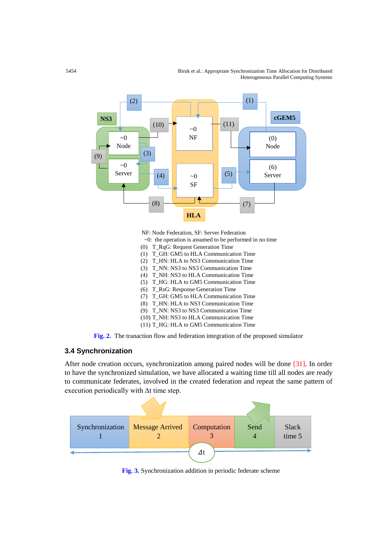5454 Biruk et al.: Appropriate Synchronization Time Allocation for Distributed Heterogeneous Parallel Computing Systems



NF: Node Federation, SF: Server Federation

- $\sim$ 0: the operation is assumed to be performed in no time
- (0) T\_RqG: Request Generation Time
- (1) T\_GH: GM5 to HLA Communication Time
- (2) T\_HN: HLA to NS3 Communication Time
- (3) T\_NN: NS3 to NS3 Communication Time
- (4) T\_NH: NS3 to HLA Communication Time (5) T\_HG: HLA to GM5 Communication Time
- (6) T\_RsG: Response Generation Time
- (7) T\_GH: GM5 to HLA Communication Time
- (8) T\_HN: HLA to NS3 Communication Time
- (9) T\_NN: NS3 to NS3 Communication Time
- (10) T\_NH: NS3 to HLA Communication Time
- (11) T\_HG: HLA to GM5 Communication Time

**Fig. 2.** The tranaction flow and federation integration of the proposed simulator

# **3.4 Synchronization**

After node creation occurs, synchronization among paired nodes will be done [31]. In order to have the synchronized simulation, we have allocated a waiting time till all nodes are ready to communicate federates, involved in the created federation and repeat the same pattern of execution periodically with Δt time step.



**Fig. 3.** Synchronization addition in periodic federate scheme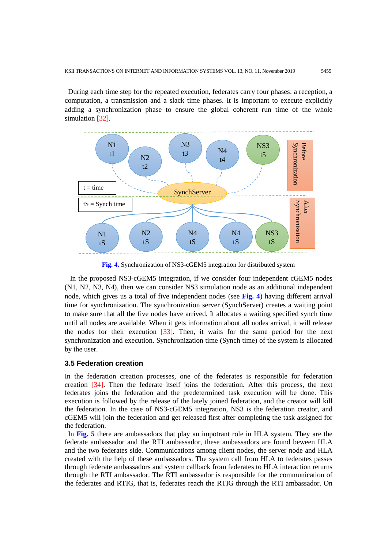During each time step for the repeated execution, federates carry four phases: a reception, a computation, a transmission and a slack time phases. It is important to execute explicitly adding a synchronization phase to ensure the global coherent run time of the whole simulation [\[32](#page-15-0)].



**Fig. 4.** Synchronization of NS3-cGEM5 integration for distributed system

 In the proposed NS3-cGEM5 integration, if we consider four independent cGEM5 nodes (N1, N2, N3, N4), then we can consider NS3 simulation node as an additional independent node, which gives us a total of five independent nodes (see **Fig. 4**) having different arrival time for synchronization. The synchronization server (SynchServer) creates a waiting point to make sure that all the five nodes have arrived. It allocates a waiting specified synch time until all nodes are available. When it gets information about all nodes arrival, it will release the nodes for their execution [33]. Then, it waits for the same period for the next synchronization and execution. Synchronization time (Synch time) of the system is allocated by the user.

#### **3.5 Federation creation**

In the federation creation processes, one of the federates is responsible for federation creation [\[34](#page-15-0)]. Then the federate itself joins the federation. After this process, the next federates joins the federation and the predetermined task execution will be done. This execution is followed by the release of the lately joined federation, and the creator will kill the federation. In the case of NS3-cGEM5 integration, NS3 is the federation creator, and cGEM5 will join the federation and get released first after completing the task assigned for the federation.

In **Fig. 5** there are ambassadors that play an impotrant role in HLA system. They are the federate ambassador and the RTI ambassador, these ambassadors are found beween HLA and the two federates side. Communications among client nodes, the server node and HLA created with the help of these ambassadors. The system call from HLA to federates passes through federate ambassadors and system callback from federates to HLA interaction returns through the RTI ambassador. The RTI ambassador is responsible for the communication of the federates and RTIG, that is, federates reach the RTIG through the RTI ambassador. On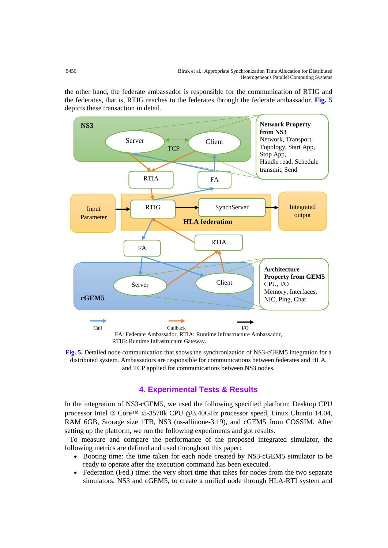the other hand, the federate ambassador is responsible for the communication of RTIG and the federates, that is, RTIG reaches to the federates through the federate ambassador. **Fig. 5** depicts these transaction in detail.



**Fig. 5.** Detailed node communication that shows the synchronization of NS3-cGEM5 integration for a distributed system. Ambassadors are responsible for communications between federates and HLA, and TCP applied for communications between NS3 nodes.

# **4. Experimental Tests & Results**

In the integration of NS3-cGEM5, we used the following specified platform: Desktop CPU processor Intel ® Core™ i5-3570k CPU @3.40GHz processor speed, Linux Ubuntu 14.04, RAM 6GB, Storage size 1TB, NS3 (ns-allinone-3.19), and cGEM5 from COSSIM. After setting up the platform, we run the following experiments and got results.

 To measure and compare the performance of the proposed integrated simulator, the following metrics are defined and used throughout this paper:

- Booting time: the time taken for each node created by NS3-cGEM5 simulator to be ready to operate after the execution command has been executed.
- Federation (Fed.) time: the very short time that takes for nodes from the two separate simulators, NS3 and cGEM5, to create a unified node through HLA-RTI system and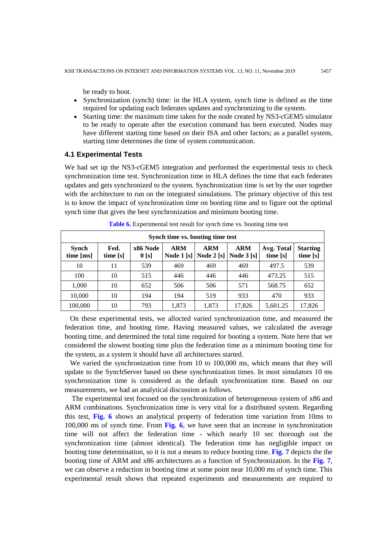be ready to boot.

- Synchronization (synch) time: in the HLA system, synch time is defined as the time required for updating each federates updates and synchronizing to the system.
- Starting time: the maximum time taken for the node created by NS3-cGEM5 simulator to be ready to operate after the execution command has been executed. Nodes may have different starting time based on their ISA and other factors; as a parallel system, starting time determines the time of system communication.

#### **4.1 Experimental Tests**

We had set up the NS3-cGEM5 integration and performed the experimental tests to check synchronization time test. Synchronization time in HLA defines the time that each federates updates and gets synchronized to the system. Synchronization time is set by the user together with the architecture to run on the integrated simulations. The primary objective of this test is to know the impact of synchronization time on booting time and to figure out the optimal synch time that gives the best synchronization and minimum booting time.

| Synch time vs. booting time test |                  |                              |                                 |                           |                              |                        |                             |
|----------------------------------|------------------|------------------------------|---------------------------------|---------------------------|------------------------------|------------------------|-----------------------------|
| <b>Synch</b><br>time [ms]        | Fed.<br>time [s] | x86 Node<br>0 <sub>[s]</sub> | <b>ARM</b><br><b>Node 1 [s]</b> | <b>ARM</b><br>Node $2[s]$ | <b>ARM</b><br>Node $3 \,[s]$ | Avg. Total<br>time [s] | <b>Starting</b><br>time [s] |
| 10                               | 11               | 539                          | 469                             | 469                       | 469                          | 497.5                  | 539                         |
| 100                              | 10               | 515                          | 446                             | 446                       | 446                          | 473.25                 | 515                         |
| 1,000                            | 10               | 652                          | 506                             | 506                       | 571                          | 568.75                 | 652                         |
| 10,000                           | 10               | 194                          | 194                             | 519                       | 933                          | 470                    | 933                         |
| 100,000                          | 10               | 793                          | 1,873                           | 1,873                     | 17,826                       | 5,601.25               | 17,826                      |

**Table 6.** Experimental test result for synch time vs. booting time test

 On these experimental tests, we allocted varied synchronization time, and measured the federation time, and booting time. Having measured values, we calculated the average booting time, and determined the total time required for booting a system. Note here that we considered the slowest booting time plus the federation time as a minimum booting time for the system, as a system it should have all architectures started.

 We varied the synchronization time from 10 to 100,000 ms, which means that they will update to the SynchServer based on these synchronization times. In most simulators 10 ms synchronization time is considered as the default synchronization time. Based on our measurements, we had an analytical discussion as follows.

The experimental test focused on the synchronization of heterogeneous system of x86 and ARM combinations. Synchronization time is very vital for a distributed system. Regarding this test, **Fig. 6** shows an analytical property of federation time variation from 10ms to 100,000 ms of synch time. From **Fig. 6**, we have seen that an increase in synchronization time will not affect the federation time - which nearly 10 sec thorough out the synchronization time (almost identical). The federation time has negligible impact on booting time determination, so it is not a means to reduce booting time. **Fig. 7** depicts the the booting time of ARM and x86 architectures as a function of Synchronization. In the **Fig. 7**, we can observe a reduction in booting time at some point near 10,000 ms of synch time. This experimental result shows that repeated experiments and measurements are required to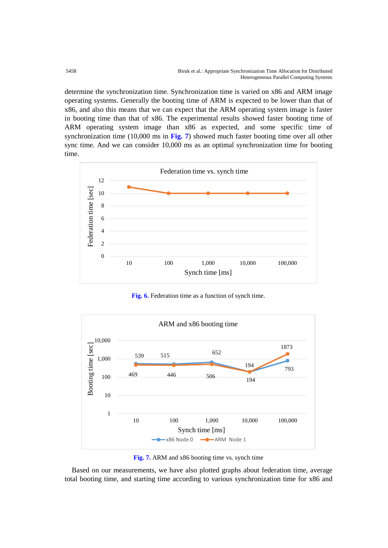determine the synchronization time. Synchronization time is varied on x86 and ARM image operating systems. Generally the booting time of ARM is expected to be lower than that of x86, and also this means that we can expect that the ARM operating system image is faster in booting time than that of x86. The experimental results showed faster booting time of ARM operating system image than x86 as expected, and some specific time of synchronization time (10,000 ms in **Fig. 7**) showed much faster booting time over all other sync time. And we can consider 10,000 ms as an optimal synchronization time for booting time.



**Fig. 6.** Federation time as a function of synch time.



**Fig. 7.** ARM and x86 booting time vs. synch time

Based on our measurements, we have also plotted graphs about federation time, average total booting time, and starting time according to various synchronization time for x86 and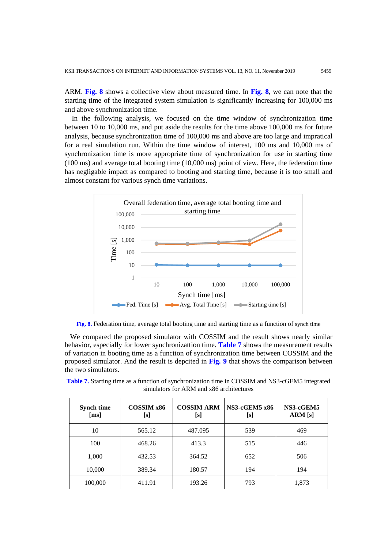ARM. **Fig. 8** shows a collective view about measured time. In **Fig. 8**, we can note that the starting time of the integrated system simulation is significantly increasing for 100,000 ms and above synchronization time.

In the following analysis, we focused on the time window of synchronization time between 10 to 10,000 ms, and put aside the results for the time above 100,000 ms for future analysis, because synchronization time of 100,000 ms and above are too large and impratical for a real simulation run. Within the time window of interest, 100 ms and 10,000 ms of synchronization time is more appropriate time of synchronization for use in starting time (100 ms) and average total booting time (10,000 ms) point of view. Here, the federation time has negligable impact as compared to booting and starting time, because it is too small and almost constant for various synch time variations.



**Fig. 8.** Federation time, average total booting time and starting time as a function of synch time

 We compared the proposed simulator with COSSIM and the result shows nearly similar behavior, especially for lower synchronizattion time. **Table 7** shows the measurement results of variation in booting time as a function of synchronization time between COSSIM and the proposed simulator. And the result is depcited in **Fig. 9** that shows the comparison between the two simulators.

| <b>Synch time</b><br>[ms] | COSSIM <sub>x86</sub><br>[s] | <b>COSSIM ARM</b><br>[s] | <b>NS3-cGEM5 x86</b><br>[s] | NS3-cGEM5<br>ARM [s] |
|---------------------------|------------------------------|--------------------------|-----------------------------|----------------------|
| 10                        | 565.12                       | 487.095                  | 539                         | 469                  |
| 100                       | 468.26                       | 413.3                    | 515                         | 446                  |
| 1,000                     | 432.53                       | 364.52                   | 652                         | 506                  |
| 10,000                    | 389.34                       | 180.57                   | 194                         | 194                  |
| 100,000                   | 411.91                       | 193.26                   | 793                         | 1,873                |

**Table 7.** Starting time as a function of synchronization time in COSSIM and NS3-cGEM5 integrated simulators for ARM and x86 architectures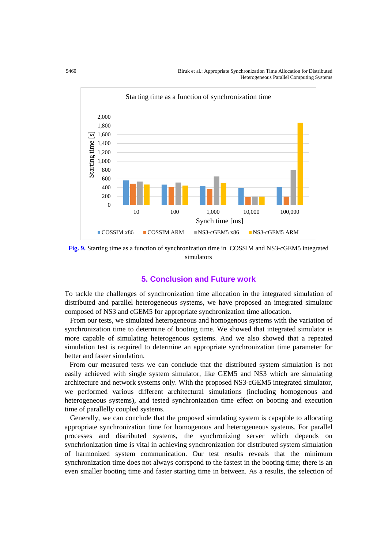5460 Biruk et al.: Appropriate Synchronization Time Allocation for Distributed Heterogeneous Parallel Computing Systems



**Fig. 9.** Starting time as a function of synchronization time in COSSIM and NS3-cGEM5 integrated simulators

# **5. Conclusion and Future work**

To tackle the challenges of synchronization time allocation in the integrated simulation of distributed and parallel heterogeneous systems, we have proposed an integrated simulator composed of NS3 and cGEM5 for appropriate synchronization time allocation.

 From our tests, we simulated heterogeneous and homogenous systems with the variation of synchronization time to determine of booting time. We showed that integrated simulator is more capable of simulating heterogenous systems. And we also showed that a repeated simulation test is required to determine an appropriate synchronization time parameter for better and faster simulation.

 From our measured tests we can conclude that the distributed system simulation is not easily achieved with single system simulator, like GEM5 and NS3 which are simulating architecture and network systems only. With the proposed NS3-cGEM5 integrated simulator, we performed various different architectural simulations (including homogenous and heterogeneous systems), and tested synchronization time effect on booting and execution time of parallelly coupled systems.

 Generally, we can conclude that the proposed simulating system is capapble to allocating appropriate synchronization time for homogenous and heterogeneous systems. For parallel processes and distributed systems, the synchronizing server which depends on synchrionization time is vital in achieving synchronization for distributed system simulation of harmonized system communication. Our test results reveals that the minimum synchronization time does not always corrspond to the fastest in the booting time; there is an even smaller booting time and faster starting time in between. As a results, the selection of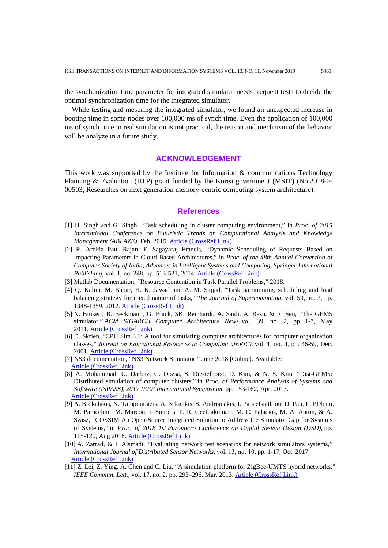the synchonization time parameter for integrated simulator needs frequent tests to decide the optimal synchronization time for the integrated simulator.

While testing and mesuring the integrated simulator, we found an unexpected increase in booting time in some nodes over 100,000 ms of synch time. Even the application of 100,000 ms of synch time in real simulation is not practical, the reason and mechnism of the behavior will be analyze in a future study.

#### **ACKNOWLEDGEMENT**

This work was supported by the Institute for Information  $\&$  communications Technology Planning & Evaluation (IITP) grant funded by the Korea government (MSIT) (No.2018-0- 00503, Researches on next generation memory-centric computing system architecture).

# **References**

- <span id="page-15-0"></span>[1] H. Singh and G. Singh, "Task scheduling in cluster computing environment," in *Proc. of 2015 International Conference on Futuristic Trends on Computational Analysis and Knowledge Management (ABLAZE),* Feb. 2015. [Article \(CrossRef Link\)](https://doi.org/10.1109/ablaze.2015.7155004)
- [2] R. Arokia Paul Rajan, F. Sagayaraj Francis, "Dynamic Scheduling of Requests Based on Impacting Parameters in Cloud Based Architectures," in *Proc. of the 48th Annual Convention of Computer Society of India, Advances in Intelligent Systems and Computing, Springer International Publishing*, vol. 1, no. 248, pp. 513-521, 2014. **Article (CrossRef Link)**
- [3] Matlab Documentation, "Resource Contention in Task Parallel Problems," 2018.
- [4] Q. Kalim, M. Babar, H. K. Jawad and A. M. Sajjad, "Task partitioning, scheduling and load balancing strategy for mixed nature of tasks," *The Journal of Supercomputing*, vol. 59, no. 3, pp. 1348-1359, 2012. [Article \(CrossRef Link\)](https://doi.org/10.1007/s11227-010-0539-3)
- [5] N. Binkert, B. Beckmann, G. Black, SK. Reinhardt, A. Saidi, A. Basu, & R. Sen, "The GEM5 simulator," *ACM SIGARCH Computer Architecture News*, vol. 39, no. 2, pp 1-7, May 2011. [Article \(CrossRef Link\)](https://doi.org/10.1145/2024716.2024718)
- [6] D. Skrien, "CPU Sim 3.1: A tool for simulating computer architectures for computer organization classes," *Journal on Educational Resources in Computing (JERIC),*vol. 1, no. 4, pp. 46-59, Dec. 2001. [Article \(CrossRef Link\)](https://doi.org/10.1145/514144.514731)
- [7] NS3 documentation, "NS3 Network Simulator," June 2018.[Online]. Available: [Article \(CrossRef Link\)](https://www.nsnam.org/)
- [8] A. Mohammad, U. Darbaz, G. Dozsa, S. Diestelhorst, D. Kim, & N. S. Kim, "Dist-GEM5: Distributed simulation of computer clusters," in *Proc. of Performance Analysis of Systems and Software (ISPASS), 2017 IEEE International Symposium*, pp. 153-162, Apr. 2017. [Article \(CrossRef Link\)](https://doi.org/10.1109/ispass.2017.7975287)
- [9] A. Brokalakis, N. Tampouratzis, A. Nikitakis, S. Andrianakis, I. Papaefstathiou, D. Pau, E. Plebani, M. Paracchini, M. Marcon, I. Sourdis, P. R. Geethakumari, M. C. Palacios, M. A. Anton, & A. Szasz, "COSSIM An Open-Source Integrated Solution to Address the Simulator Gap for Systems of Systems," in *Proc. of 2018 1st Euromicro Conference on Digital System Design (DSD)*, pp. 115-120, Aug 2018. [Article \(CrossRef Link\)](https://doi.org/10.1109/dsd.2018.00033)
- [10] A. Zarrad, & I. Alsmadi, "Evaluating network test scenarios for network simulators systems," *International Journal of Distributed Sensor Networks*, vol. 13, no. 10, pp. 1-17, Oct. 2017. [Article \(CrossRef Link\)](https://doi.org/10.1177/1550147717738216)
- [11] Z. Lei, Z. Ying, A. Chen and C. Liu, "A simulation platform for ZigBee-UMTS hybrid networks," *IEEE Commun. Lett.,* vol. 17, no. 2, pp. 293–296, Mar. 2013. [Article \(CrossRef Link\)](https://doi.org/10.1109/lcomm.2012.121912.121974)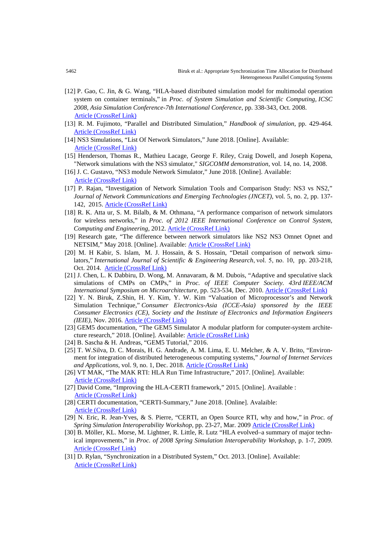- [12] P. Gao, C. Jin, & G. Wang, "HLA-based distributed simulation model for multimodal operation system on container terminals," in *Proc. of System Simulation and Scientific Computing, ICSC 2008, Asia Simulation Conference-7th International Conference*, pp. 338-343, Oct. 2008. [Article \(CrossRef Link\)](https://doi.org/10.1109/asc-icsc.2008.4675381)
- [13] R. M. Fujimoto, "Parallel and Distributed Simulation," *Handbook of simulation*, pp. 429-464. [Article \(CrossRef Link\)](https://doi.org/10.1002/9780470172445.ch12)
- [14] NS3 Simulations, "List Of Network Simulators," June 2018. [Online]. Available: [Article \(CrossRef Link\)](http://ns3simulation.com/list-of-network-simulators/)
- [15] Henderson, Thomas R., Mathieu Lacage, George F. Riley, Craig Dowell, and Joseph Kopena, "Network simulations with the NS3 simulator," *SIGCOMM demonstration*, vol. 14, no. 14, 2008.
- [16] J. C. Gustavo, "NS3 module Network Simulator," June 2018. [Online]. Available: [Article \(CrossRef Link\)](https://www.nsnam.org/tutorials/NS-3-LABMEETING-1.pdf)
- [17] P. Rajan, "Investigation of Network Simulation Tools and Comparison Study: NS3 vs NS2," *Journal of Network Communications and Emerging Technologies (JNCET)*, vol. 5, no. 2, pp. 137- 142, 2015. [Article \(CrossRef Link\)](https://doi.org/10.1201/9781315367286-5)
- [18] R. K. Atta ur, S. M. Bilalb, & M. Othmana, "A performance comparison of network simulators for wireless networks," in *Proc. of 2012 IEEE International Conference on Control System, Computing and Engineering*, 2012. [Article \(CrossRef Link\)](https://doi.org/10.1109/iccsce.2012.6487111)
- [19] Research gate, "The difference between network simulators like NS2 NS3 Omnet Opnet and NETSIM," May 2018. [Online]. Available: [Article \(CrossRef Link\)](https://www.researchgate.net/post/The_difference_between_network_simulators_like_NS2_NS3_Omnet_Opnet_and_NETSIM)
- [20] M. H Kabir, S. Islam, M. J. Hossain, & S. Hossain, "Detail comparison of network simulators," *International Journal of Scientific & Engineering Research*, vol. 5, no. 10, pp. 203-218, Oct. 2014. [Article \(CrossRef Link\)](https://www.researchgate.net/publication/275654046_Detail_Comparison_of_Network_Simulators)
- [21] J. Chen, L. K Dabbiru, D. Wong, M. Annavaram, & M. Dubois, "Adaptive and speculative slack simulations of CMPs on CMPs," in *Proc. of IEEE Computer Society. 43rd IEEE/ACM International Symposium on Microarchitecture,* pp. 523-534, Dec. 2010. [Article \(CrossRef Link\)](https://www.researchgate.net/publication/44294477_Adaptive_and_Speculative_Slack_Simulations_of_CMPs_on_CMPs)
- [22] Y. N. Biruk, Z.Shin, H. Y. Kim, Y. W. Kim "Valuation of Microprocessor's and Network Simulation Technique," *Consumer Electronics-Asia (ICCE-Asia) sponsored by the IEEE Consumer Electronics (CE), Society and the Institute of Electronics and Information Engineers (IEIE),* Nov. 2016. [Article \(CrossRef Link\)](https://www.researchgate.net/publication/309851683_Valuation_of_Microprocessor%27s_and_Network_Simulation_Technique)
- [23] GEM5 documentation, "The GEM5 Simulator A modular platform for computer-system architecture research," 2018. [Online]. Available: [Article \(CrossRef Link\)](http://gem5.org/Main_Page)
- [24] B. Sascha & H. Andreas, "GEM5 Tutorial," 2016.
- [25] T. W.Silva, D. C. Morais, H. G. Andrade, A. M. Lima, E. U. Melcher, & A. V. Brito, "Environment for integration of distributed heterogeneous computing systems," *Journal of Internet Services and Applications*, vol. 9, no. 1, Dec. 2018. [Article \(CrossRef Link\)](https://doi.org/10.1186/s13174-017-0072-1)
- [26] VT MAK, "The MAK RTI: HLA Run Time Infrastructure," 2017. [Online]. Available: [Article \(CrossRef Link\)](https://www.mak.com/products/link/mak-rti)
- [27] David Come, "Improving the HLA-CERTI framework," 2015. [Online]. Available : [Article \(CrossRef Link\)](https://www2.eecs.berkeley.edu/Pubs/TechRpts/2015/EECS-2015-202.pdf)
- [28] CERTI documentation, "CERTI-Summary," June 2018. [Online]. Avalaible: [Article \(CrossRef Link\)](https://savannah.nongnu.org/projects/certi)
- [29] N. Eric, R. Jean-Yves, & S. Pierre, "CERTI, an Open Source RTI, why and how," in *Proc. of Spring Simulation Interoperability Workshop*, pp. 23-27, Mar. 2009 [Article \(CrossRef Link\)](http://oatao.univ-toulouse.fr/2056/1/Siron_2056.pdf)
- [30] B. Möller, KL. Morse, M. Lightner, R. Little, R. Lutz "HLA evolved–a summary of major technical improvements," in *Proc. of 2008 Spring Simulation Interoperability Workshop*, p. 1-7, 2009. [Article \(CrossRef Link\)](http://pitchtechnologies.com/wp-content/uploads/2019/03/08F-SIW-064.pdf)
- [31] D. Rylan, "Synchronization in a Distributed System," Oct. 2013. [Online]. Available: [Article \(CrossRef Link\)](https://8thlight.com/blog/rylan-dirksen/2013/10/04/synchronization-in-a-distributedsystem.%20html)